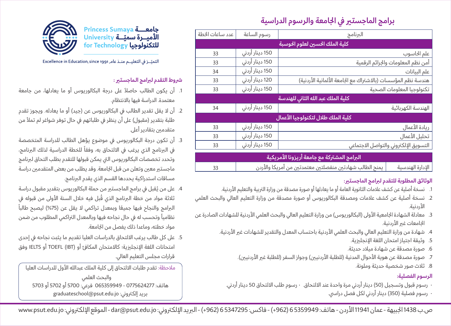# **برامج الماجستري يف اجلامعة والرسوم الدراسية**

| عدد ساعات الخطة                             | رسوم الساعة     | البرنامج                                                     |                                    |  |
|---------------------------------------------|-----------------|--------------------------------------------------------------|------------------------------------|--|
| كلية الملك الحسين لعلوم الحوسبة             |                 |                                                              |                                    |  |
| 33                                          | 150 دينار أردني |                                                              | علم الحاسوب                        |  |
| 33                                          | 150 دينار أردني |                                                              | أمن نظم المعلومات والجرائم الرقمية |  |
| 34                                          | 150 دينار أردني |                                                              | علم البيانات                       |  |
| 33                                          | 120 دينار أردني | هندسة نظم المؤسسات (بالاشتراك مع الجامعة الألمانية الأردنية) |                                    |  |
| 33                                          | 150 دينار أردني |                                                              | تكنولوجيا المعلومات الصحية         |  |
| كلية الملك عبد الله الثاني للهندسة          |                 |                                                              |                                    |  |
| 34                                          | 150 دينار أردني |                                                              | الهندسة الكهربائية                 |  |
| كلية الملك طلال لتكنولوجيا الأعمال          |                 |                                                              |                                    |  |
| 33                                          | 150 دينار أردني | ريادة الأعمال                                                |                                    |  |
| 33                                          | 150 دينار أردني | تحليل الأعمال                                                |                                    |  |
| 33                                          | 150 دينار أردني | التسويق الإلكتروني والتواصل الاجتماعي                        |                                    |  |
| البرامج المشتركة مع جامعة أريزونا الأمريكية |                 |                                                              |                                    |  |
| 33                                          |                 | يمنح الطالب شهادتين منفصلتين معتمدتين من أمريكا والأردن      | الإدارة الهندسية                   |  |

### **الوثائق المطلوبة للتقدم لربامج الماجستري:**

- .1 نسخة أصلية عن كشف عالمات الثانوية العامة أو ما يعادلها أو صورة مصدقة من وزارة الرتبية والتعليم األردنية.
- .2 نسخة أصلية عن كشف عالمات ومصدقة البكالوريوس أو صورة مصدقة من وزارة التعليم العايل والبحث العلمي الأردنية.
- 3. معادلة الشهادة الجامعية الأولى (البكالوريوس) من وزارة التعليم العالي والبحث العلمي الأردنية للشهادات الصادرة عن الجامعات غير الأردنية.
	- 4. شهادة من وزارة التعليم العالي والبحث العلمي الأردنية باحتساب المعدل والتقدير للشهادات غير الأردنية.
		- .5 وثيقة اجتياز امتحان اللغة اإلنجلزيية.
		- .6 صورة مصدقة عن شهادة ميالد حديثة.
		- 7. صورة مصدقة عن هوية الأحوال المدنية (للطلبة الأردنيين) وجواز السفر (للطلبة غير الأردنيين).
			- .8 ثالث صور شخصية حديثة وملونة.

### **الرسوم الفصلية:**

- رسوم قبول وتسجيل )50( دينار أردين مرة واحدة عند االلتحاق. رسوم طلب االلتحاق 50 دينار أردين.
	- رسوم فصلية )350( دينار أردين لكل فصل درايس.



التميّـز في التعليــم منـذ عامـ Excellence in Education, since 1991

## **رشوط التقدم لربامج الـماجستري :**

- .1 أن يكون الطالب حاصالً عىل درجة البكالوريوس أو ما يعادلها، من جامعة معتمدة. الدراسة فيها باالنتظام.
- 2. أن لا يقل تقدير الطالب في البكالوريوس عن (جيد) أو ما يعادله. ويجوز تقدم طلبة بتقدير (مقبول) على أن ينظر في طلباتهم في حال توفر شواغر لم تملأ من متقدمين بتقادير أعلى.
- .3 أن تكون درجة البكالوريوس يف موضوع يؤهل الطالب للدراسة المتخصصة في البرنامج الذي يرغب في الالتحاق به، وفقاً للخطة الدراسية لذلك البرنامج، وتحدد تخصصات البكالوريوس التي يمكن قبولها للتقدم بطلب التحاق لبرنامج ماجستير معين وتعلن من قبل الجامعة. وقد يطلب من بعض المتقدمين دراسة مساقات استدراكية يحددها القسم الذي يقدم الربنامج.
- 4. على من يُقبل في برامج الماجستير من حملة البكالوريوس بتقدير مقبول دراسة ثلاثة مواد من خطة البرنامج الذي قُبل فيه خلال السنة الأولى من قبوله في ً البرامج والنجاح فيها جميعًا وبمعدل تراكمي لا يقل عن (75%) ليصبح طالباً نظامياً وتحسب له في حال نجاحه فيها وبالمعدل التراكمي المطلوب من ضمن مواد خطته، وماعدا ذلك يفصل من الجامعة.
- 5. على كل طالب يرغب الالتحاق بالدراسات العليا تقديم ما يثبت نجاحه في إحدى امتحانات اللغة الإنحليزية؛ كالامتحان المكافئ أو (IBT) TOEFL أو IELTS وفق قرارات مجلس التعليم العالي.

مالحظة: تقدم طلبات االلتحاق إىل كلية الملك عبدالله األول للدراسات العليا والبحث العلمي هاتف: 0775624277 - 065359949 فرعي: 5700 أو 5702 أو 5703 بريد إلكتروني: graduateschool@psut.edu.jo

ص.ب 1438 الجبيهة - عمان 11941 الأردن - هاتف: 53359949 (962+) - فاكس: 5347295 (962+) - البريد الإلكتروني: dar@psut.edu.jo - الموقع الإلكتروني: www.psut.edu.jo